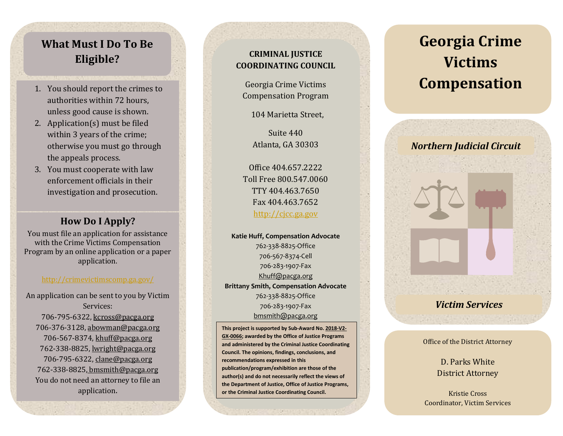# **What Must I Do To Be Eligible?**

- 1. You should report the crimes to authorities within 72 hours, unless good cause is shown.
- 2. Application(s) must be filed within 3 year s of the crime; otherwise you must go through the appeals process.
- 3. You must cooperate with law enforcement officials in their investigation and prosecution.

### **How Do I Apply?**

You must file an application for assistance with the Crime Victims Compensation Program by an online application or a paper application.

#### <http://crimevictimscomp.ga.gov/>

An application can be sent to you by Victim Services: 706-795-6322, [kcross@pacga.org](mailto:kcross@pacga.org) 706 -376 -3128[, abowman@pacga.org](mailto:abowman@pacga.org) 706-567-8374[, khuff@pacga.org](mailto:khuff@pacga.org) 762-338-8825, [lwright@pacga.org](mailto:lwright@pacga.org) 706-795-6322, [clane@pacga.org](mailto:clane@pacga.org) 762 -338 -8825, bmsmith@pacga.org You do not need an attorney to file an application .

### **CRIMINAL JUSTICE COORDINATING COUNCIL**

Georgia Crime Victims Compensation Program

104 Marietta Street,

Suite 440 Atlanta, GA 30303

Office 404.657.2222 Toll Free 800.547.0060 TTY 404.463.7650 Fax 404.463.7652 [http://cjcc.ga.gov](http://cjcc.ga.gov/)

**Katie Huff, Compensation Advocate** 762 -338 -8825 -Office 706 -567 -8374 -Cell 706 -283 -1907 -Fax [Khuff@pacga.org](mailto:Khuff@pacga.org) **Brittany Smith, Compensation Advocate** 762 -338 -8825 -Office 706 -283 -1907 -Fax [bmsmith@pacga.org](mailto:bmsmith@pacga.org)

**This project is supported by Sub -Award No. 2018 -V2 - GX -0066; awarded by the Office of Justice Programs and administered by the Criminal Justice Coordinating Council. The opinions, findings, conclusions, and recommendations expressed in this publication/program/exhibition are those of the author(s) and do not necessarily reflect the views of the Department of Justice, Office of Justice Programs, or the Criminal Justice Coordinating Council.**

# **Georgia Crime Victims Compensation**

# *Northern Judicial Circuit*

# *Victim Services*

l

#### Office of the District Attorney

D. Parks White District Attorney

Kristie Cross Coordinator, Victim Services